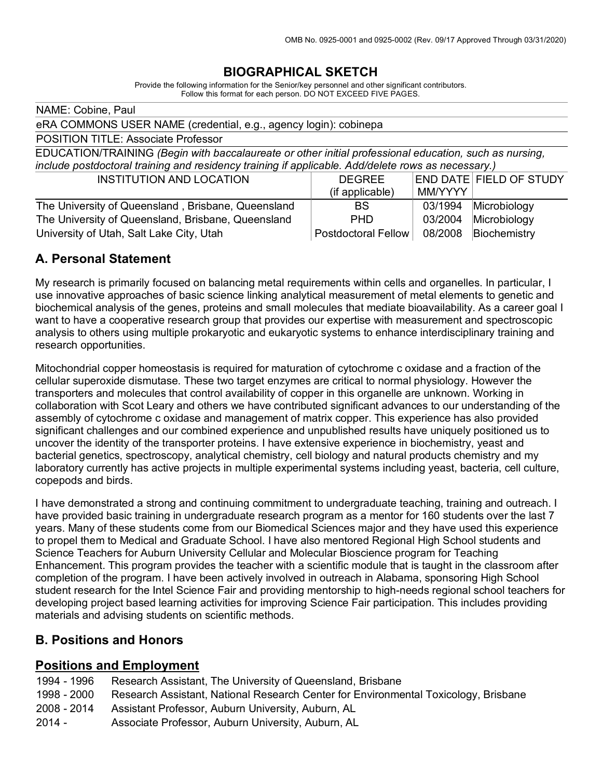## **BIOGRAPHICAL SKETCH**

Provide the following information for the Senior/key personnel and other significant contributors. Follow this format for each person. DO NOT EXCEED FIVE PAGES.

| NAME: Cobine, Paul                                                                                     |                     |         |                         |  |
|--------------------------------------------------------------------------------------------------------|---------------------|---------|-------------------------|--|
| eRA COMMONS USER NAME (credential, e.g., agency login): cobinepa                                       |                     |         |                         |  |
| <b>POSITION TITLE: Associate Professor</b>                                                             |                     |         |                         |  |
| EDUCATION/TRAINING (Begin with baccalaureate or other initial professional education, such as nursing, |                     |         |                         |  |
| include postdoctoral training and residency training if applicable. Add/delete rows as necessary.)     |                     |         |                         |  |
| <b>INSTITUTION AND LOCATION</b>                                                                        | <b>DEGREE</b>       |         | END DATE FIELD OF STUDY |  |
|                                                                                                        | (if applicable)     | MM/YYYY |                         |  |
| The University of Queensland, Brisbane, Queensland                                                     | <b>BS</b>           | 03/1994 | Microbiology            |  |
| The University of Queensland, Brisbane, Queensland                                                     | <b>PHD</b>          | 03/2004 | Microbiology            |  |
| University of Utah, Salt Lake City, Utah                                                               | Postdoctoral Fellow | 08/2008 | Biochemistry            |  |

### **A. Personal Statement**

My research is primarily focused on balancing metal requirements within cells and organelles. In particular, I use innovative approaches of basic science linking analytical measurement of metal elements to genetic and biochemical analysis of the genes, proteins and small molecules that mediate bioavailability. As a career goal I want to have a cooperative research group that provides our expertise with measurement and spectroscopic analysis to others using multiple prokaryotic and eukaryotic systems to enhance interdisciplinary training and research opportunities.

Mitochondrial copper homeostasis is required for maturation of cytochrome c oxidase and a fraction of the cellular superoxide dismutase. These two target enzymes are critical to normal physiology. However the transporters and molecules that control availability of copper in this organelle are unknown. Working in collaboration with Scot Leary and others we have contributed significant advances to our understanding of the assembly of cytochrome c oxidase and management of matrix copper. This experience has also provided significant challenges and our combined experience and unpublished results have uniquely positioned us to uncover the identity of the transporter proteins. I have extensive experience in biochemistry, yeast and bacterial genetics, spectroscopy, analytical chemistry, cell biology and natural products chemistry and my laboratory currently has active projects in multiple experimental systems including yeast, bacteria, cell culture, copepods and birds.

I have demonstrated a strong and continuing commitment to undergraduate teaching, training and outreach. I have provided basic training in undergraduate research program as a mentor for 160 students over the last 7 years. Many of these students come from our Biomedical Sciences major and they have used this experience to propel them to Medical and Graduate School. I have also mentored Regional High School students and Science Teachers for Auburn University Cellular and Molecular Bioscience program for Teaching Enhancement. This program provides the teacher with a scientific module that is taught in the classroom after completion of the program. I have been actively involved in outreach in Alabama, sponsoring High School student research for the Intel Science Fair and providing mentorship to high-needs regional school teachers for developing project based learning activities for improving Science Fair participation. This includes providing materials and advising students on scientific methods.

### **B. Positions and Honors**

#### **Positions and Employment**

- 1994 1996 Research Assistant, The University of Queensland, Brisbane
- 1998 2000 Research Assistant, National Research Center for Environmental Toxicology, Brisbane
- 2008 2014 Assistant Professor, Auburn University, Auburn, AL
- 2014 Associate Professor, Auburn University, Auburn, AL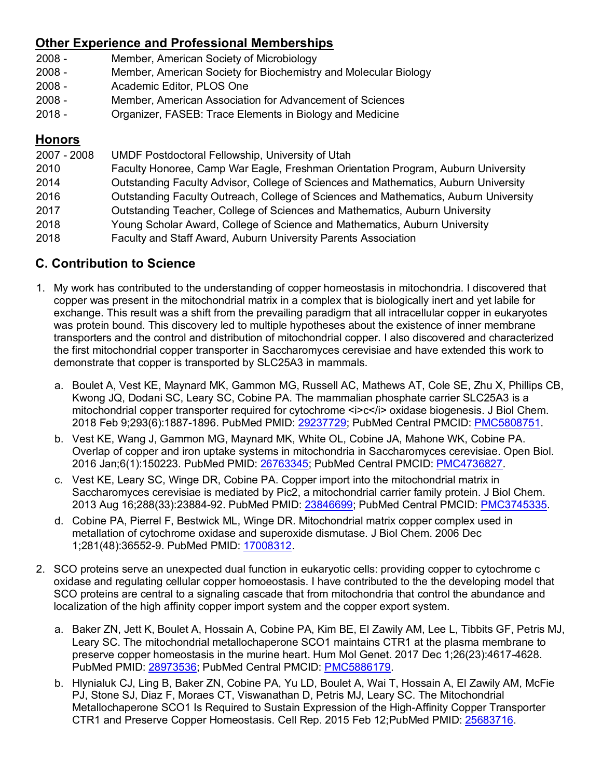# **Other Experience and Professional Memberships**

- 2008 Member, American Society of Microbiology
- 2008 Member, American Society for Biochemistry and Molecular Biology
- 2008 Academic Editor, PLOS One
- 2008 Member, American Association for Advancement of Sciences
- 2018 Organizer, FASEB: Trace Elements in Biology and Medicine

## **Honors**

| 2007 - 2008 | UMDF Postdoctoral Fellowship, University of Utah                                     |
|-------------|--------------------------------------------------------------------------------------|
| 2010        | Faculty Honoree, Camp War Eagle, Freshman Orientation Program, Auburn University     |
| 2014        | Outstanding Faculty Advisor, College of Sciences and Mathematics, Auburn University  |
| 2016        | Outstanding Faculty Outreach, College of Sciences and Mathematics, Auburn University |
| 2017        | Outstanding Teacher, College of Sciences and Mathematics, Auburn University          |
| 2018        | Young Scholar Award, College of Science and Mathematics, Auburn University           |
| 2018        | Faculty and Staff Award, Auburn University Parents Association                       |

# **C. Contribution to Science**

- 1. My work has contributed to the understanding of copper homeostasis in mitochondria. I discovered that copper was present in the mitochondrial matrix in a complex that is biologically inert and yet labile for exchange. This result was a shift from the prevailing paradigm that all intracellular copper in eukaryotes was protein bound. This discovery led to multiple hypotheses about the existence of inner membrane transporters and the control and distribution of mitochondrial copper. I also discovered and characterized the first mitochondrial copper transporter in Saccharomyces cerevisiae and have extended this work to demonstrate that copper is transported by SLC25A3 in mammals.
	- a. Boulet A, Vest KE, Maynard MK, Gammon MG, Russell AC, Mathews AT, Cole SE, Zhu X, Phillips CB, Kwong JQ, Dodani SC, Leary SC, Cobine PA. The mammalian phosphate carrier SLC25A3 is a mitochondrial copper transporter required for cytochrome <i>c</i> oxidase biogenesis. J Biol Chem. 2018 Feb 9;293(6):1887-1896. PubMed PMID: 29237729; PubMed Central PMCID: PMC5808751.
	- b. Vest KE, Wang J, Gammon MG, Maynard MK, White OL, Cobine JA, Mahone WK, Cobine PA. Overlap of copper and iron uptake systems in mitochondria in Saccharomyces cerevisiae. Open Biol. 2016 Jan;6(1):150223. PubMed PMID: 26763345; PubMed Central PMCID: PMC4736827.
	- c. Vest KE, Leary SC, Winge DR, Cobine PA. Copper import into the mitochondrial matrix in Saccharomyces cerevisiae is mediated by Pic2, a mitochondrial carrier family protein. J Biol Chem. 2013 Aug 16;288(33):23884-92. PubMed PMID: 23846699; PubMed Central PMCID: PMC3745335.
	- d. Cobine PA, Pierrel F, Bestwick ML, Winge DR. Mitochondrial matrix copper complex used in metallation of cytochrome oxidase and superoxide dismutase. J Biol Chem. 2006 Dec 1;281(48):36552-9. PubMed PMID: 17008312.
- 2. SCO proteins serve an unexpected dual function in eukaryotic cells: providing copper to cytochrome c oxidase and regulating cellular copper homoeostasis. I have contributed to the the developing model that SCO proteins are central to a signaling cascade that from mitochondria that control the abundance and localization of the high affinity copper import system and the copper export system.
	- a. Baker ZN, Jett K, Boulet A, Hossain A, Cobine PA, Kim BE, El Zawily AM, Lee L, Tibbits GF, Petris MJ, Leary SC. The mitochondrial metallochaperone SCO1 maintains CTR1 at the plasma membrane to preserve copper homeostasis in the murine heart. Hum Mol Genet. 2017 Dec 1;26(23):4617-4628. PubMed PMID: 28973536; PubMed Central PMCID: PMC5886179.
	- b. Hlynialuk CJ, Ling B, Baker ZN, Cobine PA, Yu LD, Boulet A, Wai T, Hossain A, El Zawily AM, McFie PJ, Stone SJ, Diaz F, Moraes CT, Viswanathan D, Petris MJ, Leary SC. The Mitochondrial Metallochaperone SCO1 Is Required to Sustain Expression of the High-Affinity Copper Transporter CTR1 and Preserve Copper Homeostasis. Cell Rep. 2015 Feb 12;PubMed PMID: 25683716.